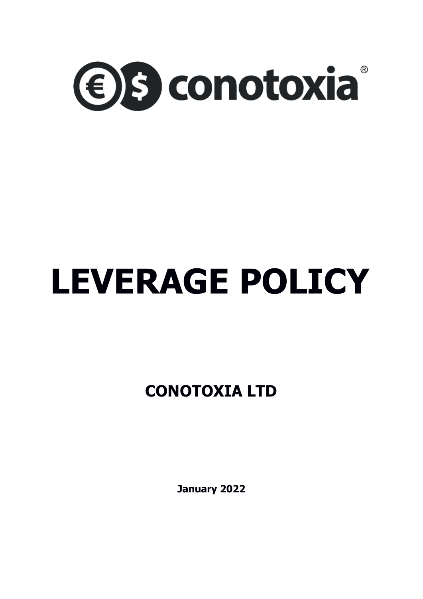

## **LEVERAGE POLICY**

**CONOTOXIA LTD**

**January 2022**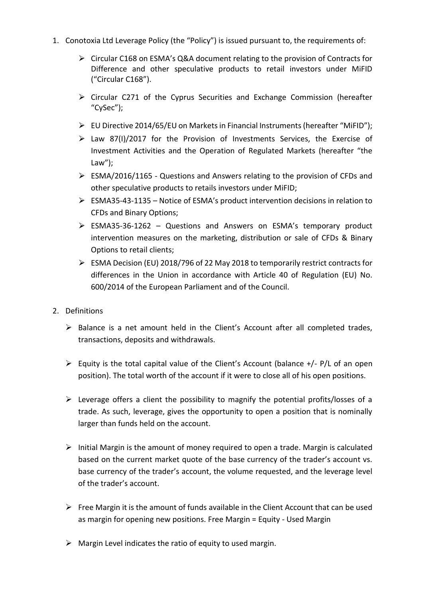- 1. Conotoxia Ltd Leverage Policy (the "Policy") is issued pursuant to, the requirements of:
	- ⮚ Circular C168 on ESMA's Q&A document relating to the provision of Contracts for Difference and other speculative products to retail investors under MiFID ("Circular C168").
	- $\triangleright$  Circular C271 of the Cyprus Securities and Exchange Commission (hereafter "CySec");
	- $\triangleright$  EU Directive 2014/65/EU on Markets in Financial Instruments (hereafter "MiFID");
	- $\triangleright$  Law 87(I)/2017 for the Provision of Investments Services, the Exercise of Investment Activities and the Operation of Regulated Markets (hereafter "the Law");
	- ⮚ ESMA/2016/1165 Questions and Answers relating to the provision of CFDs and other speculative products to retails investors under MiFID;
	- $\triangleright$  ESMA35-43-1135 Notice of ESMA's product intervention decisions in relation to CFDs and Binary Options;
	- $\triangleright$  ESMA35-36-1262 Questions and Answers on ESMA's temporary product intervention measures on the marketing, distribution or sale of CFDs & Binary Options to retail clients;
	- $\triangleright$  ESMA Decision (EU) 2018/796 of 22 May 2018 to temporarily restrict contracts for differences in the Union in accordance with Article 40 of Regulation (EU) No. 600/2014 of the European Parliament and of the Council.
- 2. Definitions
	- ➢ Balance is a net amount held in the Client's Account after all completed trades, transactions, deposits and withdrawals.
	- $\triangleright$  Equity is the total capital value of the Client's Account (balance  $+/-$  P/L of an open position). The total worth of the account if it were to close all of his open positions.
	- $\triangleright$  Leverage offers a client the possibility to magnify the potential profits/losses of a trade. As such, leverage, gives the opportunity to open a position that is nominally larger than funds held on the account.
	- $\triangleright$  Initial Margin is the amount of money required to open a trade. Margin is calculated based on the current market quote of the base currency of the trader's account vs. base currency of the trader's account, the volume requested, and the leverage level of the trader's account.
	- $\triangleright$  Free Margin it is the amount of funds available in the Client Account that can be used as margin for opening new positions. Free Margin = Equity - Used Margin
	- $\triangleright$  Margin Level indicates the ratio of equity to used margin.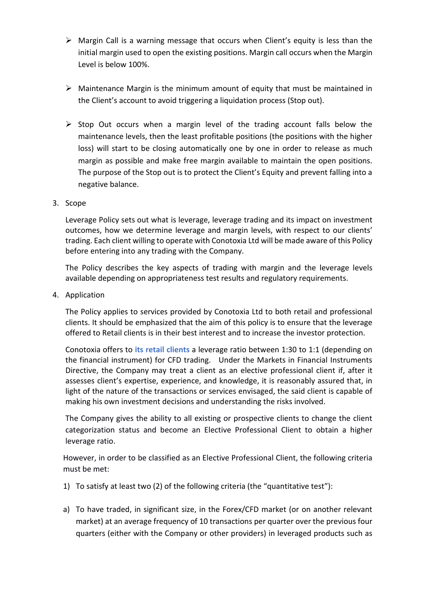- $\triangleright$  Margin Call is a warning message that occurs when Client's equity is less than the initial margin used to open the existing positions. Margin call occurs when the Margin Level is below 100%.
- $\triangleright$  Maintenance Margin is the minimum amount of equity that must be maintained in the Client's account to avoid triggering a liquidation process (Stop out).
- ➢ Stop Out occurs when a margin level of the trading account falls below the maintenance levels, then the least profitable positions (the positions with the higher loss) will start to be closing automatically one by one in order to release as much margin as possible and make free margin available to maintain the open positions. The purpose of the Stop out is to protect the Client's Equity and prevent falling into a negative balance.
- 3. Scope

Leverage Policy sets out what is leverage, leverage trading and its impact on investment outcomes, how we determine leverage and margin levels, with respect to our clients' trading. Each client willing to operate with Conotoxia Ltd will be made aware of this Policy before entering into any trading with the Company.

The Policy describes the key aspects of trading with margin and the leverage levels available depending on appropriateness test results and regulatory requirements.

4. Application

The Policy applies to services provided by Conotoxia Ltd to both retail and professional clients. It should be emphasized that the aim of this policy is to ensure that the leverage offered to Retail clients is in their best interest and to increase the investor protection.

Conotoxia offers to **its retail clients** a leverage ratio between 1:30 to 1:1 (depending on the financial instrument) for CFD trading. Under the Markets in Financial Instruments Directive, the Company may treat a client as an elective professional client if, after it assesses client's expertise, experience, and knowledge, it is reasonably assured that, in light of the nature of the transactions or services envisaged, the said client is capable of making his own investment decisions and understanding the risks involved.

The Company gives the ability to all existing or prospective clients to change the client categorization status and become an Elective Professional Client to obtain a higher leverage ratio.

However, in order to be classified as an Elective Professional Client, the following criteria must be met:

- 1) To satisfy at least two (2) of the following criteria (the "quantitative test"):
- a) To have traded, in significant size, in the Forex/CFD market (or on another relevant market) at an average frequency of 10 transactions per quarter over the previous four quarters (either with the Company or other providers) in leveraged products such as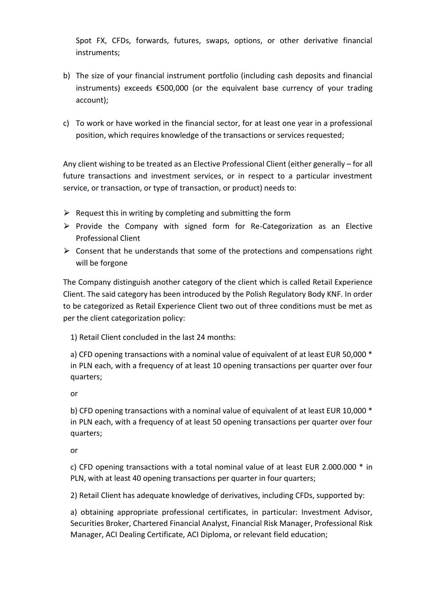Spot FX, CFDs, forwards, futures, swaps, options, or other derivative financial instruments;

- b) The size of your financial instrument portfolio (including cash deposits and financial instruments) exceeds €500,000 (or the equivalent base currency of your trading account);
- c) To work or have worked in the financial sector, for at least one year in a professional position, which requires knowledge of the transactions or services requested;

Any client wishing to be treated as an Elective Professional Client (either generally – for all future transactions and investment services, or in respect to a particular investment service, or transaction, or type of transaction, or product) needs to:

- $\triangleright$  Request this in writing by completing and submitting the form
- $\triangleright$  Provide the Company with signed form for Re-Categorization as an Elective Professional Client
- $\triangleright$  Consent that he understands that some of the protections and compensations right will be forgone

The Company distinguish another category of the client which is called Retail Experience Client. The said category has been introduced by the Polish Regulatory Body KNF. In order to be categorized as Retail Experience Client two out of three conditions must be met as per the client categorization policy:

1) Retail Client concluded in the last 24 months:

a) CFD opening transactions with a nominal value of equivalent of at least EUR 50,000 \* in PLN each, with a frequency of at least 10 opening transactions per quarter over four quarters;

or

b) CFD opening transactions with a nominal value of equivalent of at least EUR 10,000 \* in PLN each, with a frequency of at least 50 opening transactions per quarter over four quarters;

or

c) CFD opening transactions with a total nominal value of at least EUR 2.000.000 \* in PLN, with at least 40 opening transactions per quarter in four quarters;

2) Retail Client has adequate knowledge of derivatives, including CFDs, supported by:

a) obtaining appropriate professional certificates, in particular: Investment Advisor, Securities Broker, Chartered Financial Analyst, Financial Risk Manager, Professional Risk Manager, ACI Dealing Certificate, ACI Diploma, or relevant field education;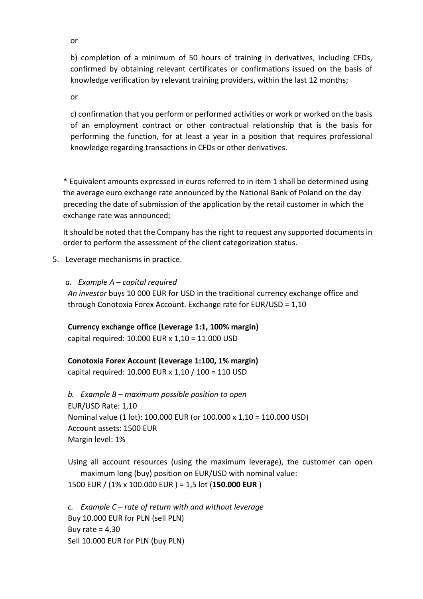or

b) completion of a minimum of 50 hours of training in derivatives, including CFDs, confirmed by obtaining relevant certificates or confirmations issued on the basis of knowledge verification by relevant training providers, within the last 12 months;

or

c) confirmation that you perform or performed activities or work or worked on the basis of an employment contract or other contractual relationship that is the basis for performing the function, for at least a year in a position that requires professional knowledge regarding transactions in CFDs or other derivatives.

\* Equivalent amounts expressed in euros referred to in item 1 shall be determined using the average euro exchange rate announced by the National Bank of Poland on the day preceding the date of submission of the application by the retail customer in which the exchange rate was announced;

It should be noted that the Company has the right to request any supported documents in order to perform the assessment of the client categorization status.

5. Leverage mechanisms in practice.

## *a. Example A – capital required*

*An investor* buys 10 000 EUR for USD in the traditional currency exchange office and through Conotoxia Forex Account. Exchange rate for EUR/USD = 1,10

**Currency exchange office (Leverage 1:1, 100% margin)** capital required: 10.000 EUR x 1,10 = 11.000 USD

**Conotoxia Forex Account (Leverage 1:100, 1% margin)** capital required: 10.000 EUR x 1,10 / 100 = 110 USD

*b. Example B – maximum possible position to open* EUR/USD Rate: 1,10 Nominal value (1 lot): 100.000 EUR (or 100.000 x 1,10 = 110.000 USD) Account assets: 1500 EUR Margin level: 1%

Using all account resources (using the maximum leverage), the customer can open maximum long (buy) position on EUR/USD with nominal value:

1500 EUR / (1% x 100.000 EUR ) = 1,5 lot (**150.000 EUR** )

*c. Example C – rate of return with and without leverage* Buy 10.000 EUR for PLN (sell PLN) Buy rate  $= 4,30$ Sell 10.000 EUR for PLN (buy PLN)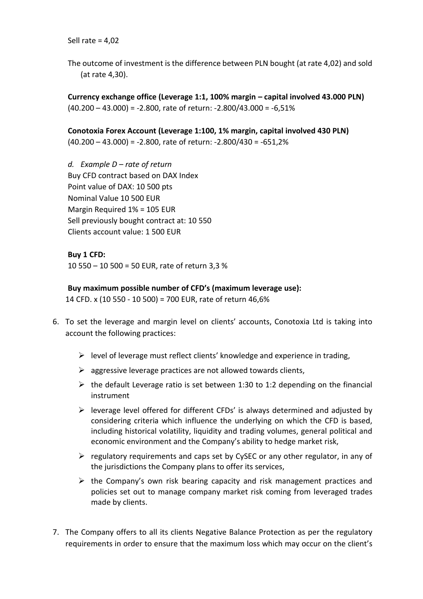Sell rate = 4,02

The outcome of investment is the difference between PLN bought (at rate 4,02) and sold (at rate 4,30).

**Currency exchange office (Leverage 1:1, 100% margin – capital involved 43.000 PLN)**  $(40.200 - 43.000) = -2.800$ , rate of return:  $-2.800/43.000 = -6.51\%$ 

**Conotoxia Forex Account (Leverage 1:100, 1% margin, capital involved 430 PLN)** (40.200 – 43.000) = -2.800, rate of return: -2.800/430 = -651,2%

*d. Example D – rate of return*  Buy CFD contract based on DAX Index Point value of DAX: 10 500 pts Nominal Value 10 500 EUR Margin Required 1% = 105 EUR Sell previously bought contract at: 10 550 Clients account value: 1 500 EUR

**Buy 1 CFD:** 10 550 – 10 500 = 50 EUR, rate of return 3,3 %

**Buy maximum possible number of CFD's (maximum leverage use):** 14 CFD. x (10 550 - 10 500) = 700 EUR, rate of return 46,6%

- 6. To set the leverage and margin level on clients' accounts, Conotoxia Ltd is taking into account the following practices:
	- $\triangleright$  level of leverage must reflect clients' knowledge and experience in trading,
	- $\triangleright$  aggressive leverage practices are not allowed towards clients,
	- $\triangleright$  the default Leverage ratio is set between 1:30 to 1:2 depending on the financial instrument
	- $\triangleright$  leverage level offered for different CFDs' is always determined and adjusted by considering criteria which influence the underlying on which the CFD is based, including historical volatility, liquidity and trading volumes, general political and economic environment and the Company's ability to hedge market risk,
	- $\triangleright$  regulatory requirements and caps set by CySEC or any other regulator, in any of the jurisdictions the Company plans to offer its services,
	- $\triangleright$  the Company's own risk bearing capacity and risk management practices and policies set out to manage company market risk coming from leveraged trades made by clients.
- 7. The Company offers to all its clients Negative Balance Protection as per the regulatory requirements in order to ensure that the maximum loss which may occur on the client's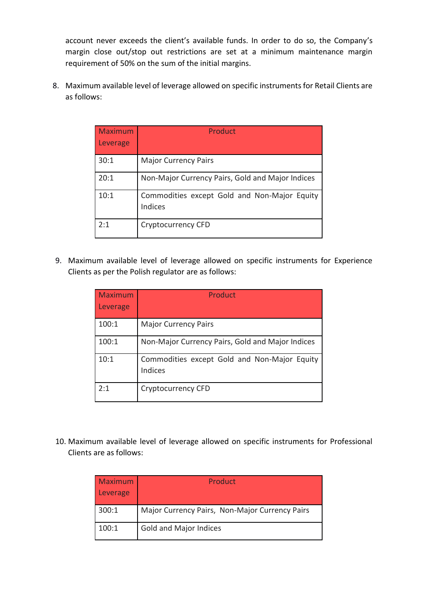account never exceeds the client's available funds. In order to do so, the Company's margin close out/stop out restrictions are set at a minimum maintenance margin requirement of 50% on the sum of the initial margins.

8. Maximum available level of leverage allowed on specific instruments for Retail Clients are as follows:

| <b>Maximum</b><br>Leverage | Product                                                 |
|----------------------------|---------------------------------------------------------|
| 30:1                       | <b>Major Currency Pairs</b>                             |
| 20:1                       | Non-Major Currency Pairs, Gold and Major Indices        |
| 10:1                       | Commodities except Gold and Non-Major Equity<br>Indices |
| 2:1                        | Cryptocurrency CFD                                      |

9. Maximum available level of leverage allowed on specific instruments for Experience Clients as per the Polish regulator are as follows:

| Maximum<br>Leverage | Product                                                 |
|---------------------|---------------------------------------------------------|
| 100:1               | <b>Major Currency Pairs</b>                             |
| 100:1               | Non-Major Currency Pairs, Gold and Major Indices        |
| 10:1                | Commodities except Gold and Non-Major Equity<br>Indices |
| 2:1                 | Cryptocurrency CFD                                      |

10. Maximum available level of leverage allowed on specific instruments for Professional Clients are as follows:

| <b>Maximum</b><br>Leverage | Product                                        |
|----------------------------|------------------------------------------------|
| 300:1                      | Major Currency Pairs, Non-Major Currency Pairs |
| 100:1                      | <b>Gold and Major Indices</b>                  |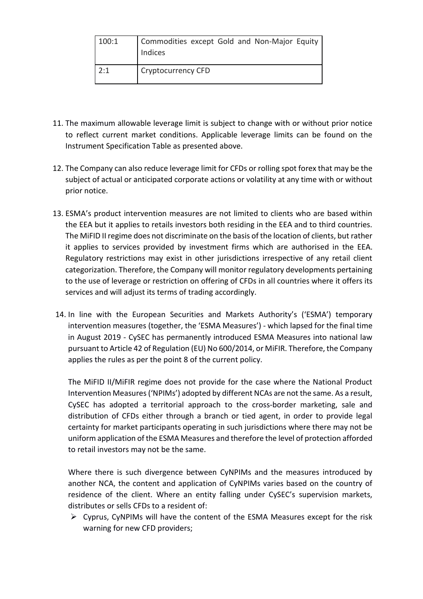| 100:1 | Commodities except Gold and Non-Major Equity<br>Indices |
|-------|---------------------------------------------------------|
| 2:1   | <b>Cryptocurrency CFD</b>                               |

- 11. The maximum allowable leverage limit is subject to change with or without prior notice to reflect current market conditions. Applicable leverage limits can be found on the Instrument Specification Table as presented above.
- 12. The Company can also reduce leverage limit for CFDs or rolling spot forex that may be the subject of actual or anticipated corporate actions or volatility at any time with or without prior notice.
- 13. ESMA's product intervention measures are not limited to clients who are based within the EEA but it applies to retails investors both residing in the EEA and to third countries. The MiFID II regime does not discriminate on the basis of the location of clients, but rather it applies to services provided by investment firms which are authorised in the EEA. Regulatory restrictions may exist in other jurisdictions irrespective of any retail client categorization. Therefore, the Company will monitor regulatory developments pertaining to the use of leverage or restriction on offering of CFDs in all countries where it offers its services and will adjust its terms of trading accordingly.
- 14. In line with the European Securities and Markets Authority's ('ESMA') temporary intervention measures (together, the 'ESMA Measures') - which lapsed for the final time in August 2019 - CySEC has permanently introduced ESMA Measures into national law pursuant to Article 42 of Regulation (EU) No 600/2014, or MiFIR. Therefore, the Company applies the rules as per the point 8 of the current policy.

The MiFID II/MiFIR regime does not provide for the case where the National Product Intervention Measures ('NPIMs') adopted by different NCAs are not the same. As a result, CySEC has adopted a territorial approach to the cross-border marketing, sale and distribution of CFDs either through a branch or tied agent, in order to provide legal certainty for market participants operating in such jurisdictions where there may not be uniform application of the ESMA Measures and therefore the level of protection afforded to retail investors may not be the same.

Where there is such divergence between CyNPIMs and the measures introduced by another NCA, the content and application of CyNPIMs varies based on the country of residence of the client. Where an entity falling under CySEC's supervision markets, distributes or sells CFDs to a resident of:

 $\triangleright$  Cyprus, CyNPIMs will have the content of the ESMA Measures except for the risk warning for new CFD providers;